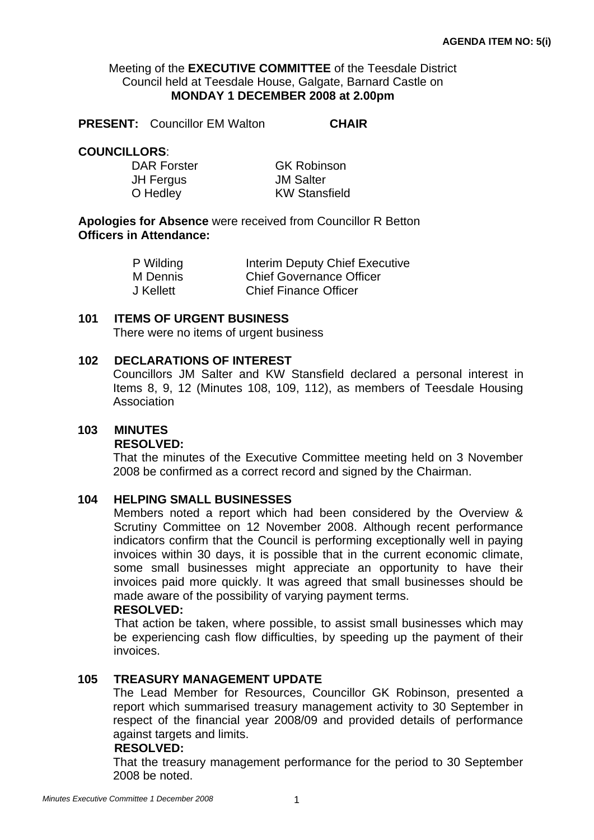### Meeting of the **EXECUTIVE COMMITTEE** of the Teesdale District Council held at Teesdale House, Galgate, Barnard Castle on **MONDAY 1 DECEMBER 2008 at 2.00pm**

**PRESENT:** Councillor EM Walton **CHAIR** 

### **COUNCILLORS**:

DAR Forster GK Robinson JH Fergus JM Salter

O Hedley KW Stansfield

**Apologies for Absence** were received from Councillor R Betton **Officers in Attendance:** 

| P Wilding | <b>Interim Deputy Chief Executive</b> |
|-----------|---------------------------------------|
| M Dennis  | <b>Chief Governance Officer</b>       |
| J Kellett | <b>Chief Finance Officer</b>          |

#### **101 ITEMS OF URGENT BUSINESS**

There were no items of urgent business

### **102 DECLARATIONS OF INTEREST**

 Councillors JM Salter and KW Stansfield declared a personal interest in Items 8, 9, 12 (Minutes 108, 109, 112), as members of Teesdale Housing Association

#### **103 MINUTES**

#### **RESOLVED:**

That the minutes of the Executive Committee meeting held on 3 November 2008 be confirmed as a correct record and signed by the Chairman.

#### **104 HELPING SMALL BUSINESSES**

Members noted a report which had been considered by the Overview & Scrutiny Committee on 12 November 2008. Although recent performance indicators confirm that the Council is performing exceptionally well in paying invoices within 30 days, it is possible that in the current economic climate, some small businesses might appreciate an opportunity to have their invoices paid more quickly. It was agreed that small businesses should be made aware of the possibility of varying payment terms.

#### **RESOLVED:**

That action be taken, where possible, to assist small businesses which may be experiencing cash flow difficulties, by speeding up the payment of their invoices.

#### **105 TREASURY MANAGEMENT UPDATE**

The Lead Member for Resources, Councillor GK Robinson, presented a report which summarised treasury management activity to 30 September in respect of the financial year 2008/09 and provided details of performance against targets and limits.

#### **RESOLVED:**

That the treasury management performance for the period to 30 September 2008 be noted.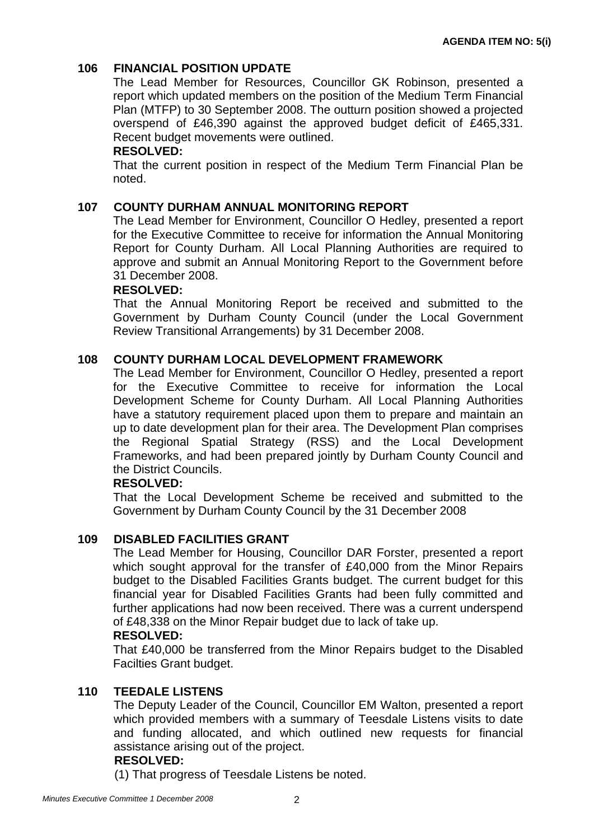# **106 FINANCIAL POSITION UPDATE**

The Lead Member for Resources, Councillor GK Robinson, presented a report which updated members on the position of the Medium Term Financial Plan (MTFP) to 30 September 2008. The outturn position showed a projected overspend of £46,390 against the approved budget deficit of £465,331. Recent budget movements were outlined.

### **RESOLVED:**

That the current position in respect of the Medium Term Financial Plan be noted.

## **107 COUNTY DURHAM ANNUAL MONITORING REPORT**

The Lead Member for Environment, Councillor O Hedley, presented a report for the Executive Committee to receive for information the Annual Monitoring Report for County Durham. All Local Planning Authorities are required to approve and submit an Annual Monitoring Report to the Government before 31 December 2008.

#### **RESOLVED:**

That the Annual Monitoring Report be received and submitted to the Government by Durham County Council (under the Local Government Review Transitional Arrangements) by 31 December 2008.

### **108 COUNTY DURHAM LOCAL DEVELOPMENT FRAMEWORK**

The Lead Member for Environment, Councillor O Hedley, presented a report for the Executive Committee to receive for information the Local Development Scheme for County Durham. All Local Planning Authorities have a statutory requirement placed upon them to prepare and maintain an up to date development plan for their area. The Development Plan comprises the Regional Spatial Strategy (RSS) and the Local Development Frameworks, and had been prepared jointly by Durham County Council and the District Councils.

#### **RESOLVED:**

That the Local Development Scheme be received and submitted to the Government by Durham County Council by the 31 December 2008

## **109 DISABLED FACILITIES GRANT**

The Lead Member for Housing, Councillor DAR Forster, presented a report which sought approval for the transfer of £40,000 from the Minor Repairs budget to the Disabled Facilities Grants budget. The current budget for this financial year for Disabled Facilities Grants had been fully committed and further applications had now been received. There was a current underspend of £48,338 on the Minor Repair budget due to lack of take up.

#### **RESOLVED:**

That £40,000 be transferred from the Minor Repairs budget to the Disabled Facilties Grant budget.

## **110 TEEDALE LISTENS**

The Deputy Leader of the Council, Councillor EM Walton, presented a report which provided members with a summary of Teesdale Listens visits to date and funding allocated, and which outlined new requests for financial assistance arising out of the project.

#### **RESOLVED:**

(1) That progress of Teesdale Listens be noted.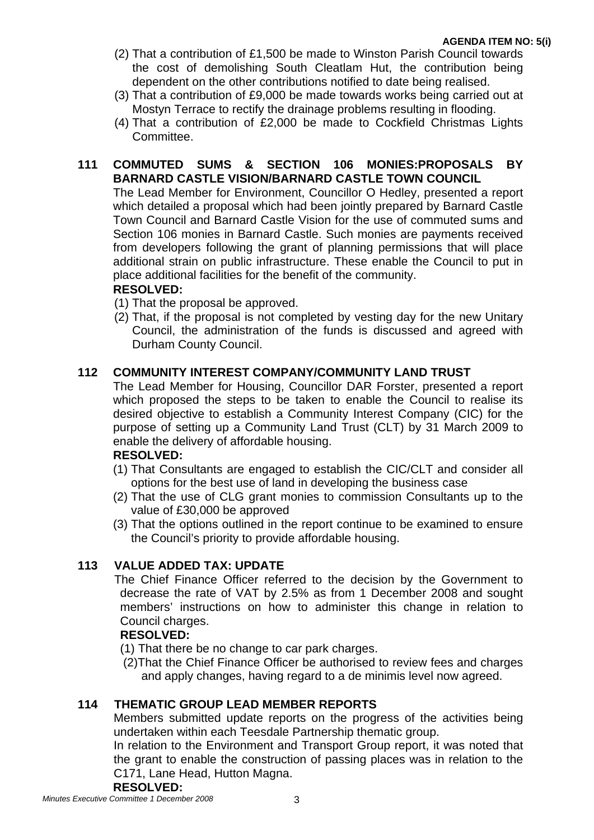- (2) That a contribution of £1,500 be made to Winston Parish Council towards the cost of demolishing South Cleatlam Hut, the contribution being dependent on the other contributions notified to date being realised.
- (3) That a contribution of £9,000 be made towards works being carried out at Mostyn Terrace to rectify the drainage problems resulting in flooding.
- (4) That a contribution of £2,000 be made to Cockfield Christmas Lights Committee.

# **111 COMMUTED SUMS & SECTION 106 MONIES:PROPOSALS BY BARNARD CASTLE VISION/BARNARD CASTLE TOWN COUNCIL**

The Lead Member for Environment, Councillor O Hedley, presented a report which detailed a proposal which had been jointly prepared by Barnard Castle Town Council and Barnard Castle Vision for the use of commuted sums and Section 106 monies in Barnard Castle. Such monies are payments received from developers following the grant of planning permissions that will place additional strain on public infrastructure. These enable the Council to put in place additional facilities for the benefit of the community.

## **RESOLVED:**

- (1) That the proposal be approved.
- (2) That, if the proposal is not completed by vesting day for the new Unitary Council, the administration of the funds is discussed and agreed with Durham County Council.

# **112 COMMUNITY INTEREST COMPANY/COMMUNITY LAND TRUST**

The Lead Member for Housing, Councillor DAR Forster, presented a report which proposed the steps to be taken to enable the Council to realise its desired objective to establish a Community Interest Company (CIC) for the purpose of setting up a Community Land Trust (CLT) by 31 March 2009 to enable the delivery of affordable housing.

## **RESOLVED:**

- (1) That Consultants are engaged to establish the CIC/CLT and consider all options for the best use of land in developing the business case
- (2) That the use of CLG grant monies to commission Consultants up to the value of £30,000 be approved
- (3) That the options outlined in the report continue to be examined to ensure the Council's priority to provide affordable housing.

# **113 VALUE ADDED TAX: UPDATE**

The Chief Finance Officer referred to the decision by the Government to decrease the rate of VAT by 2.5% as from 1 December 2008 and sought members' instructions on how to administer this change in relation to Council charges.

## **RESOLVED:**

- (1) That there be no change to car park charges.
- (2)That the Chief Finance Officer be authorised to review fees and charges and apply changes, having regard to a de minimis level now agreed.

# **114 THEMATIC GROUP LEAD MEMBER REPORTS**

Members submitted update reports on the progress of the activities being undertaken within each Teesdale Partnership thematic group.

In relation to the Environment and Transport Group report, it was noted that the grant to enable the construction of passing places was in relation to the C171, Lane Head, Hutton Magna.

#### **RESOLVED:**